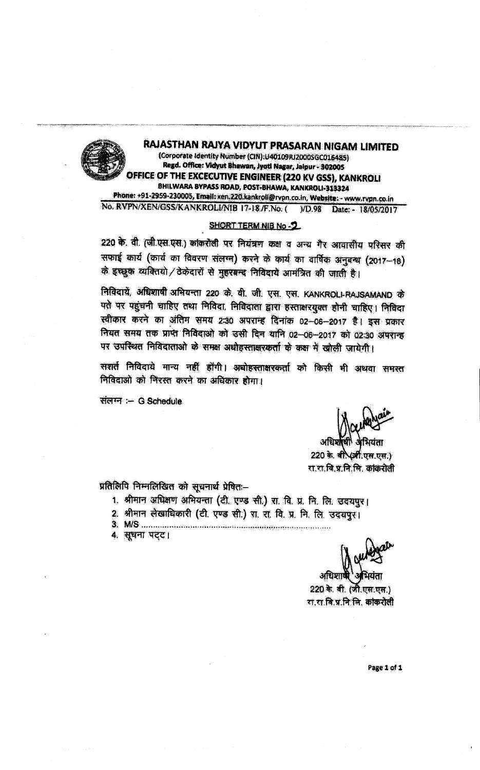RAJASTHAN RAJYA VIDYUT PRASARAN NIGAM LIMITED (Corporate Identity Number (CIN):U40109RJ2000SGC016485) Regd. Office: Vidyut Bhawan, Jyoti Nagar, Jalpur - 302005 DFFICE OF THE EXCECUTIVE ENGINEER (220 KV GSS), KANKROLI BHILWARA BYPASS ROAD, POST-BHAWA, KANKROLI-313324 Phone: +91-2959-230005, Email: xen.220.kankroll@rvpn.co.in, Website: - www.rypn.co.in No. RVPN/XEN/GSS/KANKROLI/NIB 17-18/F.No. ( VD.98 Date: - 18/05/2017

## SHORT TERM NIB No-2

220 के. वी. (जी.एस.एस.) कांकरोली पर नियंत्रण कक्ष व अन्य गैर आवासीय परिसर की सफाई कार्य (कार्य का विवरण संलग्न) करने के कार्य का वार्षिक अनुबन्ध (2017-18) के इच्छूक व्यक्तियो / ठेकेदारों से मुहरबन्द निविदायें आमंत्रित की जाती है।

निविदायें, अधिशाषी अभियन्ता 220 के. वी. जी. एस. एस. KANKROLI-RAJSAMAND के पते पर पहुंचनी चाहिए तथा निविदा निविदाता द्वारा हस्ताक्षरयुक्त होनी चाहिए। निविदा स्वीकार करने का अंतिम समय 2:30 अपरान्ह दिनांक 02-06-2017 है। इस प्रकार नियत समय तक प्राप्त निविदाओं को उसी दिन यानि 02-06-2017 को 02:30 अपरान्ह पर उपस्थित निविदाताओं के समक्ष अधोहस्ताक्षरकर्ता के कक्ष में खोली जायेगी।

सशर्त निविदाये मान्य नहीं होंगी। अधोहस्ताक्षरकर्ता को किसी भी अथवा समस्त निविदाओं को निरस्त करने का अधिकार होगा।

संलग्न :- G Schedule

रा.रा.वि.प्र.नि.लि. ककिरोली

प्रतिलिपि निम्नलिखित को सुचनार्थ प्रेषितः-

- 1. श्रीमान अधिक्षण अभियन्ता (टी. एण्ड सी.) स. वि. प्र. नि. लि. उदयपुर।
- 2. श्रीमान लेखाधिकारी (टी. एण्ड सी.) रा. रा. वि. प्र. नि. लि. उदयपुर।
- 
- 4. सूचना पट्ट।

220 के. वी. (जी.एस.एस.) रा रा वि.प्र.नि.सि. कांकरोली

Page 1 of 1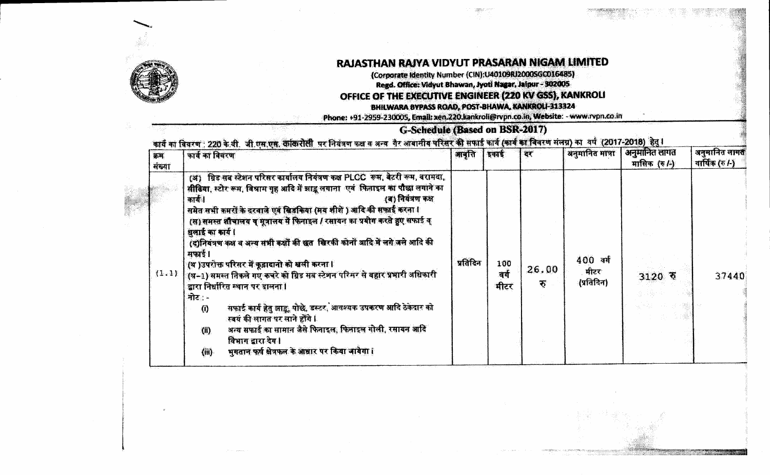

## RAJASTHAN RAJYA VIDYUT PRASARAN NIGAM LIMITED

(Corporate Identity Number (CIN):U40109RJ2000SGC016485) Regd. Office: Vidyut Bhawan, Jyoti Nagar, Jalpur - 302005

## OFFICE OF THE EXECUTIVE ENGINEER (220 KV GSS), KANKROLI

BHILWARA BYPASS ROAD, POST-BHAWA, KANKROLI-313324

Phone: +91-2959-230005, Email: xen.220.kankroli@rvpn.co.in, Website: - www.rvpn.co.in

## G-Schedule (Based on BSR-2017)

कार्य का विवरण : 220 के.वी. जी.एस.एस. कॉकरोली पर नियंत्रण कक्ष व अन्य गैर आवासीय परिसर की सफाई कार्य (कार्य का विवरण संलग्न) का वर्ष (2017-2018) हेतु ।

| क्रम<br>संख्या | कार्य का विवरण                                                                                                                                                                                                                                                                                                                                                                                                                                                                                                                                                                                                                                                                                                                                                                                                                                                                                                                     | आवृत्ति  | इकाई                | दर         | अनुमानित मात्रा                | अनुमानित लागत<br>मासिक (रु/-) | अनुमानित लागत<br>वार्षिक (रु $ A\rangle$ |
|----------------|------------------------------------------------------------------------------------------------------------------------------------------------------------------------------------------------------------------------------------------------------------------------------------------------------------------------------------------------------------------------------------------------------------------------------------------------------------------------------------------------------------------------------------------------------------------------------------------------------------------------------------------------------------------------------------------------------------------------------------------------------------------------------------------------------------------------------------------------------------------------------------------------------------------------------------|----------|---------------------|------------|--------------------------------|-------------------------------|------------------------------------------|
| (1.1)          | (अ) ग्रिड सब स्टेशन परिसर कार्यालय नियंत्रण कक्ष PLCC रूम, बेटरी रूम, बरामदा,<br>सीढिया, स्टोर रूम, विश्राम गृह आदि में झाडू लगाना एवं फिताइल का पौछा लगाने का<br>$\langle$ ৰ) নিয়ম্ম কথ<br>कार्य ।<br>समेत सभी कमरों के दरवाजे एवं खिडकिया (मय शीशें ) आदि की सफ़ाई करना !<br>(स) समस्त शौचालय व मूत्रालय में फिनाइल / रसायन का प्रयोग करते हुए सफाई व्<br>धनाई का कार्य।<br>(द)नियंत्रण कक्ष व अन्य सभी कक्षों की छत खिरकी कोनों आदि में लगे जले आदि की<br>मफाई।<br>  (थ )उपरोक्त परिसर में कूद्वादानो को खली करना ।<br>  (थ-1) समस्त तिकले गए कचरे को ग्रिड सब स्टेशन परिमर से बहार प्रभारी अधिकारी<br>द्वारा निर्धारित स्थान पर डालना ।<br>त्रोट∶∽<br>सफाई कार्य हेतु झाडू, पोछे, डस्टर, आवश्यक उपकरण आदि ठेकेदार को<br>$\langle 0 \rangle$<br>.स्वयं की लागत पर लाने होंगे l<br>अन्य सफाई का सामान जैसे फिनाइल, फिनाइल गोली, रसायन आदि<br>(1)<br>विभाग द्वारा देय।<br>भूगतान फर्ष क्षेत्रफल के आधार पर किया जायेगा।<br>(iii) | प्रतिदिन | 100<br>वर्ग<br>मीटर | 26.00<br>F | 400 क्य<br>मीटरः<br>(प्रतिदिन) | $3120$ रु                     | 37440                                    |
|                |                                                                                                                                                                                                                                                                                                                                                                                                                                                                                                                                                                                                                                                                                                                                                                                                                                                                                                                                    |          |                     |            |                                |                               |                                          |